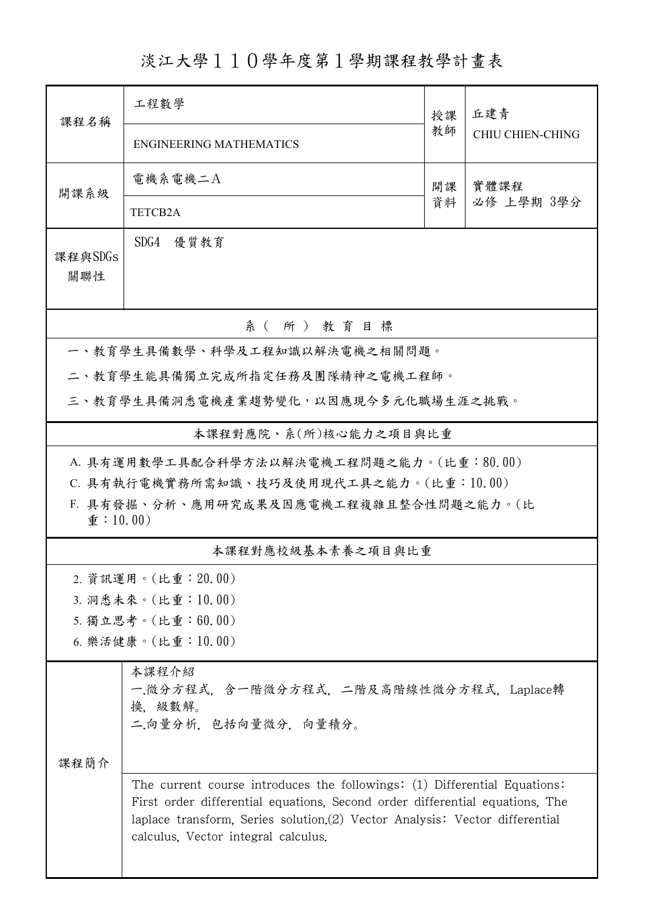淡江大學110學年度第1學期課程教學計畫表

| 課程名稱                                                                     | 工程數學                                                                                                                                                                                                                                                                            | 授課 | 丘建青<br><b>CHIU CHIEN-CHING</b> |  |  |  |  |  |
|--------------------------------------------------------------------------|---------------------------------------------------------------------------------------------------------------------------------------------------------------------------------------------------------------------------------------------------------------------------------|----|--------------------------------|--|--|--|--|--|
|                                                                          | <b>ENGINEERING MATHEMATICS</b>                                                                                                                                                                                                                                                  | 教師 |                                |  |  |  |  |  |
| 開課系級                                                                     | 電機系電機二A                                                                                                                                                                                                                                                                         | 開課 | 實體課程                           |  |  |  |  |  |
|                                                                          | TETCB2A                                                                                                                                                                                                                                                                         | 資料 | 必修 上學期 3學分                     |  |  |  |  |  |
| 課程與SDGs<br>關聯性                                                           | SDG4<br>優質教育                                                                                                                                                                                                                                                                    |    |                                |  |  |  |  |  |
| 系(所)教育目標                                                                 |                                                                                                                                                                                                                                                                                 |    |                                |  |  |  |  |  |
|                                                                          | 一、教育學生具備數學、科學及工程知識以解決電機之相關問題。                                                                                                                                                                                                                                                   |    |                                |  |  |  |  |  |
|                                                                          | 二、教育學生能具備獨立完成所指定任務及團隊精神之電機工程師。                                                                                                                                                                                                                                                  |    |                                |  |  |  |  |  |
|                                                                          | 三、教育學生具備洞悉電機產業趨勢變化,以因應現今多元化職場生涯之挑戰。                                                                                                                                                                                                                                             |    |                                |  |  |  |  |  |
| 本課程對應院、系(所)核心能力之項目與比重                                                    |                                                                                                                                                                                                                                                                                 |    |                                |  |  |  |  |  |
| A. 具有運用數學工具配合科學方法以解決電機工程問題之能力。(比重:80.00)                                 |                                                                                                                                                                                                                                                                                 |    |                                |  |  |  |  |  |
|                                                                          | C. 具有執行電機實務所需知識、技巧及使用現代工具之能力。(比重:10.00)                                                                                                                                                                                                                                         |    |                                |  |  |  |  |  |
| F. 具有發掘、分析、應用研究成果及因應電機工程複雜且整合性問題之能力。(比<br>$\hat{\mathbf{\Phi}}$ : 10.00) |                                                                                                                                                                                                                                                                                 |    |                                |  |  |  |  |  |
| 本課程對應校級基本素養之項目與比重                                                        |                                                                                                                                                                                                                                                                                 |    |                                |  |  |  |  |  |
|                                                                          | 2. 資訊運用。(比重: 20.00)                                                                                                                                                                                                                                                             |    |                                |  |  |  |  |  |
| 3. 洞悉未來。(比重:10.00)                                                       |                                                                                                                                                                                                                                                                                 |    |                                |  |  |  |  |  |
| 5. 獨立思考。(比重:60.00)                                                       |                                                                                                                                                                                                                                                                                 |    |                                |  |  |  |  |  |
| 6. 樂活健康。(比重:10.00)                                                       |                                                                                                                                                                                                                                                                                 |    |                                |  |  |  |  |  |
|                                                                          | 本課程介紹<br>一.微分方程式, 含一階微分方程式, 二階及高階線性微分方程式, Laplace轉<br>换. 級數解。<br>二.向量分析,包括向量微分,向量積分。                                                                                                                                                                                            |    |                                |  |  |  |  |  |
| 课程简介                                                                     |                                                                                                                                                                                                                                                                                 |    |                                |  |  |  |  |  |
|                                                                          | The current course introduces the followings: (1) Differential Equations:<br>First order differential equations, Second order differential equations, The<br>laplace transform, Series solution (2) Vector Analysis: Vector differential<br>calculus, Vector integral calculus. |    |                                |  |  |  |  |  |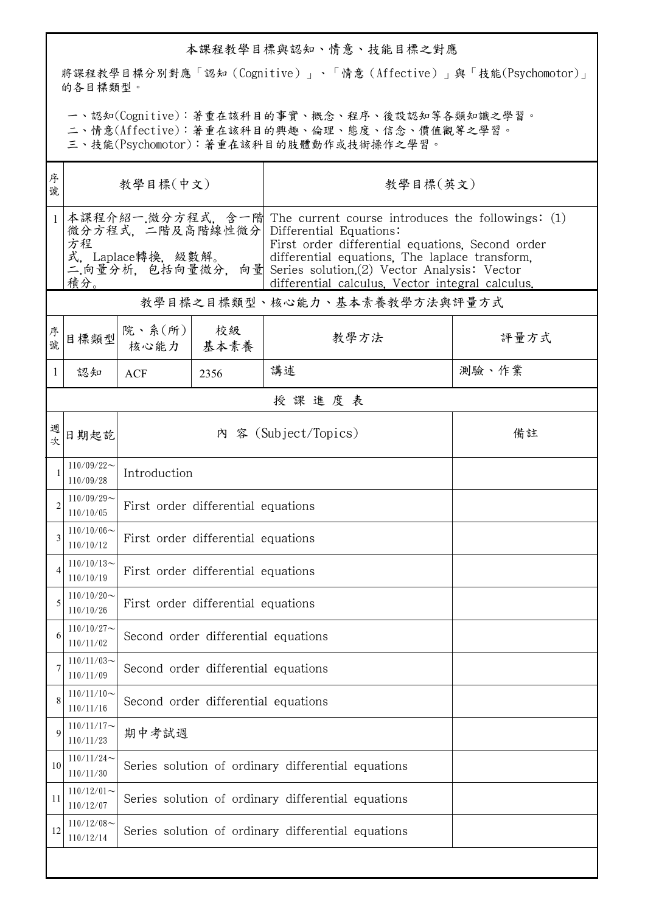## 本課程教學目標與認知、情意、技能目標之對應

將課程教學目標分別對應「認知(Cognitive)」、「情意(Affective)」與「技能(Psychomotor)」 的各目標類型。

一、認知(Cognitive):著重在該科目的事實、概念、程序、後設認知等各類知識之學習。

二、情意(Affective):著重在該科目的興趣、倫理、態度、信念、價值觀等之學習。

三、技能(Psychomotor):著重在該科目的肢體動作或技術操作之學習。

| 序<br>號       | 教學目標(中文)                                                                   |                                                    |                 | 教學目標(英文)                                                                                                                                                                                                                                                                                   |       |  |  |  |
|--------------|----------------------------------------------------------------------------|----------------------------------------------------|-----------------|--------------------------------------------------------------------------------------------------------------------------------------------------------------------------------------------------------------------------------------------------------------------------------------------|-------|--|--|--|
| $\mathbf{1}$ | 微分方程式,二階及高階線性微分 Differential Equations:<br>方程<br>式, Laplace轉換, 級數解。<br>積分。 |                                                    |                 | 本課程介紹一.微分方程式,含一階 The current course introduces the followings: (1)<br>First order differential equations. Second order<br>differential equations, The laplace transform,<br>二向量分析,包括向量微分,向量 Series solution(2) Vector Analysis: Vector<br>differential calculus, Vector integral calculus. |       |  |  |  |
|              | 教學目標之目標類型、核心能力、基本素養教學方法與評量方式                                               |                                                    |                 |                                                                                                                                                                                                                                                                                            |       |  |  |  |
| 序號           | 目標類型                                                                       | 院、系 $(\kappa)$                                     | 校級<br>核心能力 基本素養 | 教學方法                                                                                                                                                                                                                                                                                       | 評量方式  |  |  |  |
| 1            | 認知                                                                         | <b>ACF</b>                                         | 2356            | 講述                                                                                                                                                                                                                                                                                         | 測驗、作業 |  |  |  |
|              | 授課進度表                                                                      |                                                    |                 |                                                                                                                                                                                                                                                                                            |       |  |  |  |
| 週            | 日期起訖                                                                       |                                                    |                 | 內 容 (Subject/Topics)                                                                                                                                                                                                                                                                       | 備註    |  |  |  |
|              | $110/09/22$ ~<br>110/09/28                                                 | Introduction                                       |                 |                                                                                                                                                                                                                                                                                            |       |  |  |  |
| 2            | $110/09/29$ ~<br>110/10/05                                                 | First order differential equations                 |                 |                                                                                                                                                                                                                                                                                            |       |  |  |  |
| 3            | $110/10/06$ ~<br>110/10/12                                                 | First order differential equations                 |                 |                                                                                                                                                                                                                                                                                            |       |  |  |  |
|              | $110/10/13$ ~<br>110/10/19                                                 | First order differential equations                 |                 |                                                                                                                                                                                                                                                                                            |       |  |  |  |
| 5            | $110/10/20$ ~<br>110/10/26                                                 | First order differential equations                 |                 |                                                                                                                                                                                                                                                                                            |       |  |  |  |
| 6            | $110/10/27$ ~<br>110/11/02                                                 | Second order differential equations                |                 |                                                                                                                                                                                                                                                                                            |       |  |  |  |
| 7            | $110/11/03$ ~<br>110/11/09                                                 | Second order differential equations                |                 |                                                                                                                                                                                                                                                                                            |       |  |  |  |
| 8            | $110/11/10$ ~<br>110/11/16                                                 | Second order differential equations                |                 |                                                                                                                                                                                                                                                                                            |       |  |  |  |
| 9            | $110/11/17$ ~<br>110/11/23                                                 | 期中考試週                                              |                 |                                                                                                                                                                                                                                                                                            |       |  |  |  |
| 10           | $110/11/24$ ~<br>110/11/30                                                 | Series solution of ordinary differential equations |                 |                                                                                                                                                                                                                                                                                            |       |  |  |  |
| 11           | $110/12/01$ ~<br>110/12/07                                                 | Series solution of ordinary differential equations |                 |                                                                                                                                                                                                                                                                                            |       |  |  |  |
| 12           | $110/12/08$ ~<br>110/12/14                                                 | Series solution of ordinary differential equations |                 |                                                                                                                                                                                                                                                                                            |       |  |  |  |
|              |                                                                            |                                                    |                 |                                                                                                                                                                                                                                                                                            |       |  |  |  |